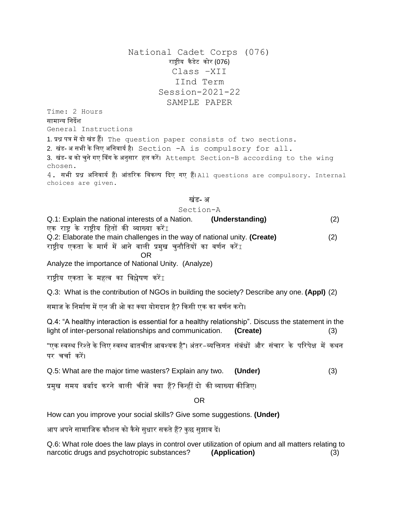National Cadet Corps (076) राष्ट्रीय कैडेट कोर (076) Class –XII IInd Term Session-2021-22 SAMPLE PAPER

Time: 2 Hours सामान्य निर्देश General Instructions

1. प्रश्न पत्र मेंर्दो खंड हैं। The question paper consists of two sections. 2. खंड-असभी के लिए अनिवार्य है। Section -A is compulsory for all. 3. खंड- ब को चुने गए विंग के अनुसार हल करें। Attempt Section-B according to the wing chosen.

4. सभी प्रश्न अनिवार्य हैं। आंतरिक विकल्प दिए गए हैं। All questions are compulsory. Internal choices are given.

#### खंड- अ

### Section-A

Q.1: Explain the national interests of a Nation. **(Understanding)** (2) एक राष्ट्र के राष्ट्रीय नहतों की व्याख्या करेंI Q.2: Elaborate the main challenges in the way of national unity. **(Create)** (2) राष्ट्रीय एकता के मार्ग में आने वाली प्रमुख चुनौतियों का वर्णन करें $\overline{I}$ 

OR

Analyze the importance of National Unity. (Analyze)

राष्टीय एकता के महत्व का विश्लेषण करें $I$ 

Q.3: What is the contribution of NGOs in building the society? Describe any one. **(Appl)** (2)

समाज के निर्माण में एन जी ओ का क्या योगदान है? किसी एक का वर्णन करो।

Q.4: "A healthy interaction is essential for a healthy relationship". Discuss the statement in the light of inter-personal relationships and communication. **(Create)** (3)

"एक स्वस्थ रिश्ते के लिए स्वस्थ बातचीत आवश्यक है"। अंतर–व्यक्तिगत संबंधों और संचार के परिपेक्ष में कथन पर चर्चा करें।

Q.5: What are the major time wasters? Explain any two. **(Under)** (3)

प्रमुख समय बर्बाद करने वाली चीजें क्या हैं? किन्हीं दो की व्याख्या कीजिए।

### OR

How can you improve your social skills? Give some suggestions. **(Under)**

आप अपने सामाजिक कौशल को कैसे सुधार सकते हैं? कुछ सुझाव दें।

Q.6: What role does the law plays in control over utilization of opium and all matters relating to narcotic drugs and psychotropic substances? **(Application)** (3)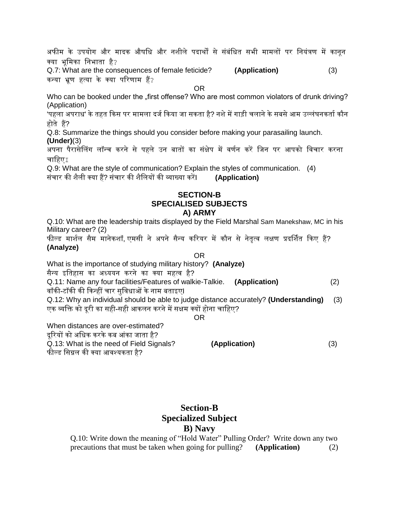अफीम के उपयोग और मादक औषधि और नशीले पदार्थों से संबंधित सभी मामलों पर नियंत्रण में कानून क्या भूनमका निभाता है?

Q.7: What are the consequences of female feticide? **(Application)** (3) कन्या भ्रूण हत्या के क्या परिणाम हैं?

OR

Who can be booked under the "first offense? Who are most common violators of drunk driving? (Application)

'पहला अपराध' के तहत किस पर मामला दर्ज किया जा सकता है? नशे में गाड़ी चलाने के सबसे आम उल्लंघनकर्ता कौन होते हैं?

Q.8: Summarize the things should you consider before making your parasailing launch.

**(Under)**(3)

अपना पैरासेलिंग लॉन्च करने से पहले उन बातों का संक्षेप में वर्णन करें जिन पर आपको विचार करना चाहिए $\tau$ 

Q.9: What are the style of communication? Explain the styles of communication. (4) संचार की शैिी क्या हैं? संचार की शैनियों की व्याख्या करेंI **(Application)**

## **SECTION-B SPECIALISED SUBJECTS A) ARMY**

Q.10: What are the leadership traits displayed by the Field Marshal Sam Manekshaw, MC in his Military career? (2)

फील्ड मार्शल सैम मानेकशॉ, एमसी ने अपने सैन्य करियर में कौन से नेतृत्व लक्षण प्रदर्शित किए हैं? **(Analyze)**

## OR

What is the importance of studying military history? **(Analyze)**

सैन्य इनतहास का अध्ययि करिे का क्या महत्व है?

Q.11: Name any four facilities/Features of walkie-Talkie. **(Application)** (2) वॉकी-टॉकी की किन्हीं चार सुविधाओं के नाम बताइए**I** 

Q.12: Why an individual should be able to judge distance accurately? **(Understanding)** (3) एक व्यक्ति को दुरी का सही-सही आकलन करने में सक्षम क्यों होना चाहिए?

### OR

When distances are over-estimated?

र्दूररयों को अनधक करकेकब आंका जाता है?

Q.13: What is the need of Field Signals? **(Application)** (3) फील्ड नसग्नि की क्या आवश्यकता है?

## **Section-B Specialized Subject B) Navy**

Q.10: Write down the meaning of "Hold Water" Pulling Order? Write down any two precautions that must be taken when going for pulling? **(Application)** (2)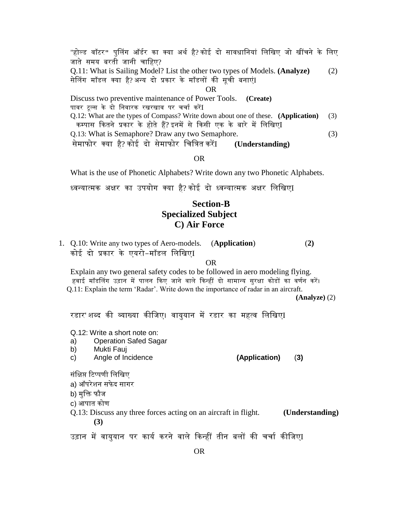"होल्ड वॉटर" पुलिंग ऑर्डर का क्या अर्थ है?कोई दो सावधानियां लिखिए जो खींचने के लिए जाते समय बरती जानी चाहिए? Q.11: What is Sailing Model? List the other two types of Models. **(Analyze)** (2) सेलिंग मॉडल क्या है?अन्य दो प्रकार के मॉडलों की सूची बनाएंI OR Discuss two preventive maintenance of Power Tools. **(Create)**  पावर टूल्स के दो निवारक रखरखाव पर चर्चा करें<u>I</u> Q.12: What are the types of Compass? Write down about one of these. **(Application)** (3) कम्पास कितने प्रकार के होते हैं?इनमें से किसी एक के बारे में लिखिएI Q.13: What is Semaphore? Draw any two Semaphore. (3) सेमाफोर क्या है? कोई र्दो सेमाफोर नचनत्रत करेंI **(Understanding)**

OR

What is the use of Phonetic Alphabets? Write down any two Phonetic Alphabets.

ध्वन्यात्मक अक्षर का उपयोग क्या है? कोई र्दो ध्वन्यात्मक अक्षर निनखएI

# **Section-B Specialized Subject C) Air Force**

1. Q.10: Write any two types of Aero-models. (**Application**) (**2)** कोई दो प्रकार के एयरो-मॉडल लिखिएI

OR

Explain any two general safety codes to be followed in aero modeling flying. हवाई मॉडलिंग उड़ान में पालन किए जाने वाले किन्हीं दो सामान्य सुरक्षा कोडों का वर्णन करें। Q.11: Explain the term 'Radar'. Write down the importance of radar in an aircraft.

 **(Analyze)** (2)

रडार'शब्द की व्याख्या कीजिए। वायुयान में रडार का महत्व लिखिएI

Q.12: Write a short note on:

- a) Operation Safed Sagar
- b) Mukti Fauj
- c) Angle of Incidence **(Application)** (**3)**

संक्षिप्त टिप्पणी लिखिए

a) ऑपरेशन सफेद सागर

b) मुक्ति फौज

c) आपात कोर्

Q.13: Discuss any three forces acting on an aircraft in flight. **(Understanding) (3)**

उड़ान में वायुयान पर कार्य करने वाले किन्हीं तीन बलों की चर्चा कीजिएI